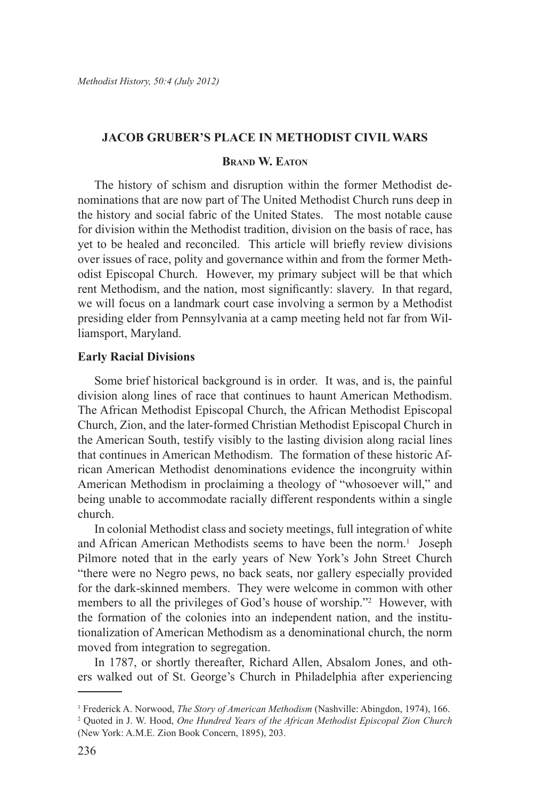# **Jacob Gruber's Place in Methodist Civil Wars**

# **Brand W. Eaton**

The history of schism and disruption within the former Methodist denominations that are now part of The United Methodist Church runs deep in the history and social fabric of the United States. The most notable cause for division within the Methodist tradition, division on the basis of race, has yet to be healed and reconciled. This article will briefly review divisions over issues of race, polity and governance within and from the former Methodist Episcopal Church. However, my primary subject will be that which rent Methodism, and the nation, most significantly: slavery. In that regard, we will focus on a landmark court case involving a sermon by a Methodist presiding elder from Pennsylvania at a camp meeting held not far from Williamsport, Maryland.

### **Early Racial Divisions**

Some brief historical background is in order. It was, and is, the painful division along lines of race that continues to haunt American Methodism. The African Methodist Episcopal Church, the African Methodist Episcopal Church, Zion, and the later-formed Christian Methodist Episcopal Church in the American South, testify visibly to the lasting division along racial lines that continues in American Methodism. The formation of these historic African American Methodist denominations evidence the incongruity within American Methodism in proclaiming a theology of "whosoever will," and being unable to accommodate racially different respondents within a single church.

In colonial Methodist class and society meetings, full integration of white and African American Methodists seems to have been the norm.<sup>1</sup> Joseph Pilmore noted that in the early years of New York's John Street Church "there were no Negro pews, no back seats, nor gallery especially provided for the dark-skinned members. They were welcome in common with other members to all the privileges of God's house of worship."<sup>2</sup> However, with the formation of the colonies into an independent nation, and the institutionalization of American Methodism as a denominational church, the norm moved from integration to segregation.

In 1787, or shortly thereafter, Richard Allen, Absalom Jones, and others walked out of St. George's Church in Philadelphia after experiencing

<sup>1</sup> Frederick A. Norwood, *The Story of American Methodism* (Nashville: Abingdon, 1974), 166.

<sup>2</sup> Quoted in J. W. Hood, *One Hundred Years of the African Methodist Episcopal Zion Church*  (New York: A.M.E. Zion Book Concern, 1895), 203.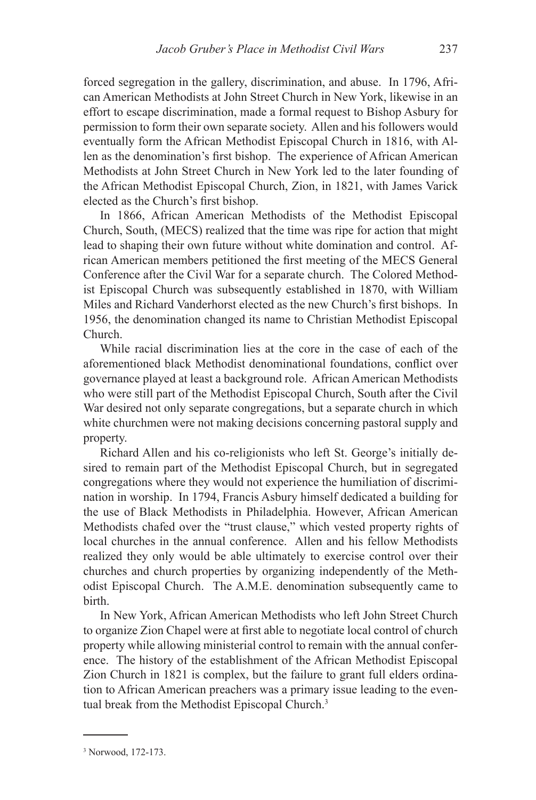forced segregation in the gallery, discrimination, and abuse. In 1796, African American Methodists at John Street Church in New York, likewise in an effort to escape discrimination, made a formal request to Bishop Asbury for permission to form their own separate society. Allen and his followers would eventually form the African Methodist Episcopal Church in 1816, with Allen as the denomination's first bishop. The experience of African American Methodists at John Street Church in New York led to the later founding of the African Methodist Episcopal Church, Zion, in 1821, with James Varick elected as the Church's first bishop.

In 1866, African American Methodists of the Methodist Episcopal Church, South, (MECS) realized that the time was ripe for action that might lead to shaping their own future without white domination and control. African American members petitioned the first meeting of the MECS General Conference after the Civil War for a separate church. The Colored Methodist Episcopal Church was subsequently established in 1870, with William Miles and Richard Vanderhorst elected as the new Church's first bishops. In 1956, the denomination changed its name to Christian Methodist Episcopal Church.

While racial discrimination lies at the core in the case of each of the aforementioned black Methodist denominational foundations, conflict over governance played at least a background role. African American Methodists who were still part of the Methodist Episcopal Church, South after the Civil War desired not only separate congregations, but a separate church in which white churchmen were not making decisions concerning pastoral supply and property.

Richard Allen and his co-religionists who left St. George's initially desired to remain part of the Methodist Episcopal Church, but in segregated congregations where they would not experience the humiliation of discrimination in worship. In 1794, Francis Asbury himself dedicated a building for the use of Black Methodists in Philadelphia. However, African American Methodists chafed over the "trust clause," which vested property rights of local churches in the annual conference. Allen and his fellow Methodists realized they only would be able ultimately to exercise control over their churches and church properties by organizing independently of the Methodist Episcopal Church. The A.M.E. denomination subsequently came to birth.

In New York, African American Methodists who left John Street Church to organize Zion Chapel were at first able to negotiate local control of church property while allowing ministerial control to remain with the annual conference. The history of the establishment of the African Methodist Episcopal Zion Church in 1821 is complex, but the failure to grant full elders ordination to African American preachers was a primary issue leading to the eventual break from the Methodist Episcopal Church.<sup>3</sup>

<sup>3</sup> Norwood, 172-173.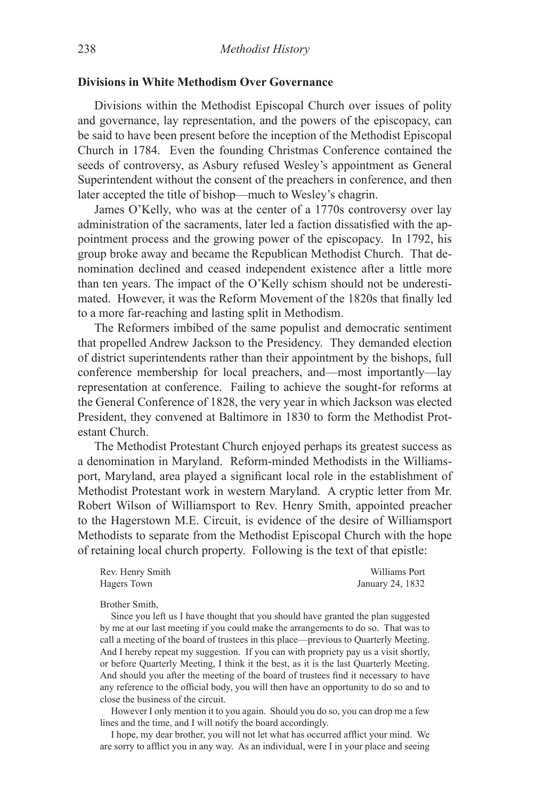# **Divisions in White Methodism Over Governance**

Divisions within the Methodist Episcopal Church over issues of polity and governance, lay representation, and the powers of the episcopacy, can be said to have been present before the inception of the Methodist Episcopal Church in 1784. Even the founding Christmas Conference contained the seeds of controversy, as Asbury refused Wesley's appointment as General Superintendent without the consent of the preachers in conference, and then later accepted the title of bishop—much to Wesley's chagrin.

James O'Kelly, who was at the center of a 1770s controversy over lay administration of the sacraments, later led a faction dissatisfied with the appointment process and the growing power of the episcopacy. In 1792, his group broke away and became the Republican Methodist Church. That denomination declined and ceased independent existence after a little more than ten years. The impact of the O'Kelly schism should not be underestimated. However, it was the Reform Movement of the 1820s that finally led to a more far-reaching and lasting split in Methodism.

The Reformers imbibed of the same populist and democratic sentiment that propelled Andrew Jackson to the Presidency. They demanded election of district superintendents rather than their appointment by the bishops, full conference membership for local preachers, and—most importantly—lay representation at conference. Failing to achieve the sought-for reforms at the General Conference of 1828, the very year in which Jackson was elected President, they convened at Baltimore in 1830 to form the Methodist Protestant Church.

The Methodist Protestant Church enjoyed perhaps its greatest success as a denomination in Maryland. Reform-minded Methodists in the Williamsport, Maryland, area played a significant local role in the establishment of Methodist Protestant work in western Maryland. A cryptic letter from Mr. Robert Wilson of Williamsport to Rev. Henry Smith, appointed preacher to the Hagerstown M.E. Circuit, is evidence of the desire of Williamsport Methodists to separate from the Methodist Episcopal Church with the hope of retaining local church property. Following is the text of that epistle:

| Rev. Henry Smith | Williams Port    |
|------------------|------------------|
| Hagers Town      | January 24, 1832 |

Brother Smith,

Since you left us I have thought that you should have granted the plan suggested by me at our last meeting if you could make the arrangements to do so. That was to call a meeting of the board of trustees in this place—previous to Quarterly Meeting. And I hereby repeat my suggestion. If you can with propriety pay us a visit shortly, or before Quarterly Meeting, I think it the best, as it is the last Quarterly Meeting. And should you after the meeting of the board of trustees find it necessary to have any reference to the official body, you will then have an opportunity to do so and to close the business of the circuit.

However I only mention it to you again. Should you do so, you can drop me a few lines and the time, and I will notify the board accordingly.

I hope, my dear brother, you will not let what has occurred afflict your mind. We are sorry to afflict you in any way. As an individual, were I in your place and seeing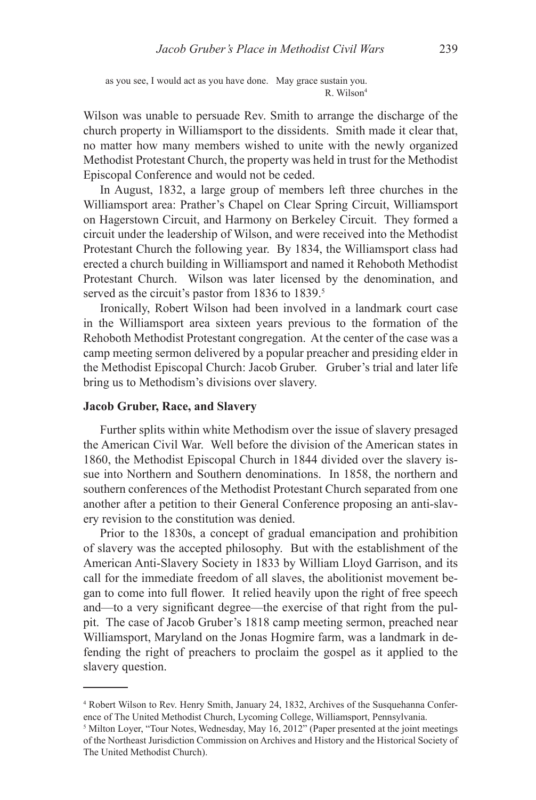as you see, I would act as you have done. May grace sustain you. R. Wilson<sup>4</sup>

Wilson was unable to persuade Rev. Smith to arrange the discharge of the church property in Williamsport to the dissidents. Smith made it clear that, no matter how many members wished to unite with the newly organized Methodist Protestant Church, the property was held in trust for the Methodist Episcopal Conference and would not be ceded.

In August, 1832, a large group of members left three churches in the Williamsport area: Prather's Chapel on Clear Spring Circuit, Williamsport on Hagerstown Circuit, and Harmony on Berkeley Circuit. They formed a circuit under the leadership of Wilson, and were received into the Methodist Protestant Church the following year. By 1834, the Williamsport class had erected a church building in Williamsport and named it Rehoboth Methodist Protestant Church. Wilson was later licensed by the denomination, and served as the circuit's pastor from 1836 to 1839.<sup>5</sup>

Ironically, Robert Wilson had been involved in a landmark court case in the Williamsport area sixteen years previous to the formation of the Rehoboth Methodist Protestant congregation. At the center of the case was a camp meeting sermon delivered by a popular preacher and presiding elder in the Methodist Episcopal Church: Jacob Gruber. Gruber's trial and later life bring us to Methodism's divisions over slavery.

### **Jacob Gruber, Race, and Slavery**

Further splits within white Methodism over the issue of slavery presaged the American Civil War. Well before the division of the American states in 1860, the Methodist Episcopal Church in 1844 divided over the slavery issue into Northern and Southern denominations. In 1858, the northern and southern conferences of the Methodist Protestant Church separated from one another after a petition to their General Conference proposing an anti-slavery revision to the constitution was denied.

Prior to the 1830s, a concept of gradual emancipation and prohibition of slavery was the accepted philosophy. But with the establishment of the American Anti-Slavery Society in 1833 by William Lloyd Garrison, and its call for the immediate freedom of all slaves, the abolitionist movement began to come into full flower. It relied heavily upon the right of free speech and—to a very significant degree—the exercise of that right from the pulpit. The case of Jacob Gruber's 1818 camp meeting sermon, preached near Williamsport, Maryland on the Jonas Hogmire farm, was a landmark in defending the right of preachers to proclaim the gospel as it applied to the slavery question.

<sup>4</sup> Robert Wilson to Rev. Henry Smith, January 24, 1832, Archives of the Susquehanna Conference of The United Methodist Church, Lycoming College, Williamsport, Pennsylvania.

<sup>&</sup>lt;sup>5</sup> Milton Loyer, "Tour Notes, Wednesday, May 16, 2012" (Paper presented at the joint meetings of the Northeast Jurisdiction Commission on Archives and History and the Historical Society of The United Methodist Church).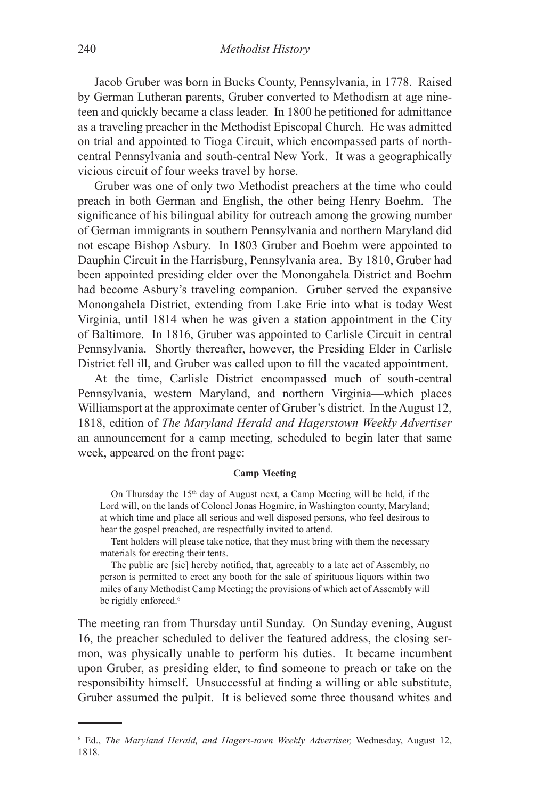Jacob Gruber was born in Bucks County, Pennsylvania, in 1778. Raised by German Lutheran parents, Gruber converted to Methodism at age nineteen and quickly became a class leader. In 1800 he petitioned for admittance as a traveling preacher in the Methodist Episcopal Church. He was admitted on trial and appointed to Tioga Circuit, which encompassed parts of northcentral Pennsylvania and south-central New York. It was a geographically vicious circuit of four weeks travel by horse.

Gruber was one of only two Methodist preachers at the time who could preach in both German and English, the other being Henry Boehm. The significance of his bilingual ability for outreach among the growing number of German immigrants in southern Pennsylvania and northern Maryland did not escape Bishop Asbury. In 1803 Gruber and Boehm were appointed to Dauphin Circuit in the Harrisburg, Pennsylvania area. By 1810, Gruber had been appointed presiding elder over the Monongahela District and Boehm had become Asbury's traveling companion. Gruber served the expansive Monongahela District, extending from Lake Erie into what is today West Virginia, until 1814 when he was given a station appointment in the City of Baltimore. In 1816, Gruber was appointed to Carlisle Circuit in central Pennsylvania. Shortly thereafter, however, the Presiding Elder in Carlisle District fell ill, and Gruber was called upon to fill the vacated appointment.

At the time, Carlisle District encompassed much of south-central Pennsylvania, western Maryland, and northern Virginia—which places Williamsport at the approximate center of Gruber's district. In the August 12, 1818, edition of *The Maryland Herald and Hagerstown Weekly Advertiser* an announcement for a camp meeting, scheduled to begin later that same week, appeared on the front page:

#### **Camp Meeting**

On Thursday the  $15<sup>th</sup>$  day of August next, a Camp Meeting will be held, if the Lord will, on the lands of Colonel Jonas Hogmire, in Washington county, Maryland; at which time and place all serious and well disposed persons, who feel desirous to hear the gospel preached, are respectfully invited to attend.

Tent holders will please take notice, that they must bring with them the necessary materials for erecting their tents.

The public are [sic] hereby notified, that, agreeably to a late act of Assembly, no person is permitted to erect any booth for the sale of spirituous liquors within two miles of any Methodist Camp Meeting; the provisions of which act of Assembly will be rigidly enforced.<sup>6</sup>

The meeting ran from Thursday until Sunday. On Sunday evening, August 16, the preacher scheduled to deliver the featured address, the closing sermon, was physically unable to perform his duties. It became incumbent upon Gruber, as presiding elder, to find someone to preach or take on the responsibility himself. Unsuccessful at finding a willing or able substitute, Gruber assumed the pulpit. It is believed some three thousand whites and

<sup>6</sup> Ed., *The Maryland Herald, and Hagers-town Weekly Advertiser,* Wednesday, August 12, 1818.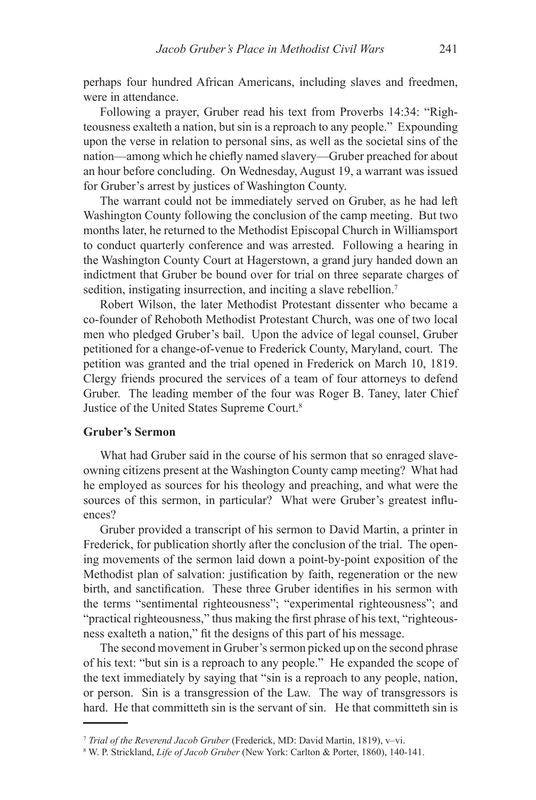perhaps four hundred African Americans, including slaves and freedmen, were in attendance.

Following a prayer, Gruber read his text from Proverbs 14:34: "Righteousness exalteth a nation, but sin is a reproach to any people." Expounding upon the verse in relation to personal sins, as well as the societal sins of the nation—among which he chiefly named slavery—Gruber preached for about an hour before concluding. On Wednesday, August 19, a warrant was issued for Gruber's arrest by justices of Washington County.

The warrant could not be immediately served on Gruber, as he had left Washington County following the conclusion of the camp meeting. But two months later, he returned to the Methodist Episcopal Church in Williamsport to conduct quarterly conference and was arrested. Following a hearing in the Washington County Court at Hagerstown, a grand jury handed down an indictment that Gruber be bound over for trial on three separate charges of sedition, instigating insurrection, and inciting a slave rebellion.<sup>7</sup>

Robert Wilson, the later Methodist Protestant dissenter who became a co-founder of Rehoboth Methodist Protestant Church, was one of two local men who pledged Gruber's bail. Upon the advice of legal counsel, Gruber petitioned for a change-of-venue to Frederick County, Maryland, court. The petition was granted and the trial opened in Frederick on March 10, 1819. Clergy friends procured the services of a team of four attorneys to defend Gruber. The leading member of the four was Roger B. Taney, later Chief Justice of the United States Supreme Court.8

# **Gruber's Sermon**

What had Gruber said in the course of his sermon that so enraged slaveowning citizens present at the Washington County camp meeting? What had he employed as sources for his theology and preaching, and what were the sources of this sermon, in particular? What were Gruber's greatest influences?

Gruber provided a transcript of his sermon to David Martin, a printer in Frederick, for publication shortly after the conclusion of the trial. The opening movements of the sermon laid down a point-by-point exposition of the Methodist plan of salvation: justification by faith, regeneration or the new birth, and sanctification. These three Gruber identifies in his sermon with the terms "sentimental righteousness"; "experimental righteousness"; and "practical righteousness," thus making the first phrase of his text, "righteousness exalteth a nation," fit the designs of this part of his message.

The second movement in Gruber's sermon picked up on the second phrase of his text: "but sin is a reproach to any people." He expanded the scope of the text immediately by saying that "sin is a reproach to any people, nation, or person. Sin is a transgression of the Law. The way of transgressors is hard. He that committeth sin is the servant of sin. He that committeth sin is

<sup>7</sup> *Trial of the Reverend Jacob Gruber* (Frederick, MD: David Martin, 1819), v–vi.

<sup>8</sup> W. P. Strickland, *Life of Jacob Gruber* (New York: Carlton & Porter, 1860), 140-141.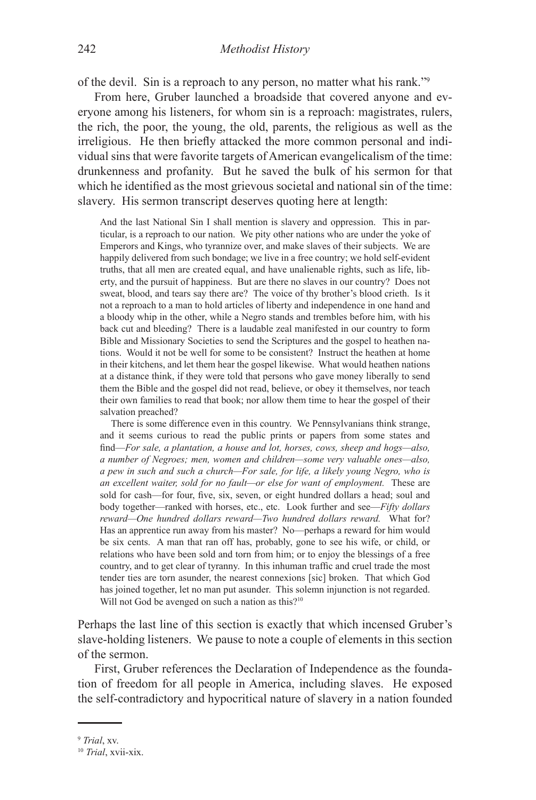of the devil. Sin is a reproach to any person, no matter what his rank."9

From here, Gruber launched a broadside that covered anyone and everyone among his listeners, for whom sin is a reproach: magistrates, rulers, the rich, the poor, the young, the old, parents, the religious as well as the irreligious. He then briefly attacked the more common personal and individual sins that were favorite targets of American evangelicalism of the time: drunkenness and profanity. But he saved the bulk of his sermon for that which he identified as the most grievous societal and national sin of the time: slavery. His sermon transcript deserves quoting here at length:

And the last National Sin I shall mention is slavery and oppression. This in particular, is a reproach to our nation. We pity other nations who are under the yoke of Emperors and Kings, who tyrannize over, and make slaves of their subjects. We are happily delivered from such bondage; we live in a free country; we hold self-evident truths, that all men are created equal, and have unalienable rights, such as life, liberty, and the pursuit of happiness. But are there no slaves in our country? Does not sweat, blood, and tears say there are? The voice of thy brother's blood crieth. Is it not a reproach to a man to hold articles of liberty and independence in one hand and a bloody whip in the other, while a Negro stands and trembles before him, with his back cut and bleeding? There is a laudable zeal manifested in our country to form Bible and Missionary Societies to send the Scriptures and the gospel to heathen nations. Would it not be well for some to be consistent? Instruct the heathen at home in their kitchens, and let them hear the gospel likewise. What would heathen nations at a distance think, if they were told that persons who gave money liberally to send them the Bible and the gospel did not read, believe, or obey it themselves, nor teach their own families to read that book; nor allow them time to hear the gospel of their salvation preached?

There is some difference even in this country. We Pennsylvanians think strange, and it seems curious to read the public prints or papers from some states and find—*For sale, a plantation, a house and lot, horses, cows, sheep and hogs—also, a number of Negroes; men, women and children—some very valuable ones—also, a pew in such and such a church—For sale, for life, a likely young Negro, who is an excellent waiter, sold for no fault—or else for want of employment.* These are sold for cash—for four, five, six, seven, or eight hundred dollars a head; soul and body together—ranked with horses, etc., etc. Look further and see—*Fifty dollars reward—One hundred dollars reward—Two hundred dollars reward.* What for? Has an apprentice run away from his master? No—perhaps a reward for him would be six cents. A man that ran off has, probably, gone to see his wife, or child, or relations who have been sold and torn from him; or to enjoy the blessings of a free country, and to get clear of tyranny. In this inhuman traffic and cruel trade the most tender ties are torn asunder, the nearest connexions [sic] broken. That which God has joined together, let no man put asunder. This solemn injunction is not regarded. Will not God be avenged on such a nation as this?<sup>10</sup>

Perhaps the last line of this section is exactly that which incensed Gruber's slave-holding listeners. We pause to note a couple of elements in this section of the sermon.

First, Gruber references the Declaration of Independence as the foundation of freedom for all people in America, including slaves. He exposed the self-contradictory and hypocritical nature of slavery in a nation founded

<sup>9</sup> *Trial*, xv.

<sup>10</sup> *Trial*, xvii-xix.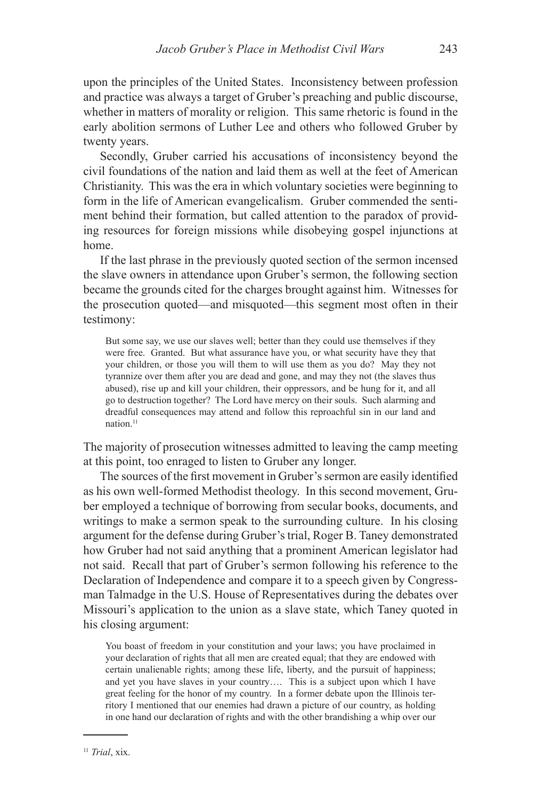upon the principles of the United States. Inconsistency between profession and practice was always a target of Gruber's preaching and public discourse, whether in matters of morality or religion. This same rhetoric is found in the early abolition sermons of Luther Lee and others who followed Gruber by twenty years.

Secondly, Gruber carried his accusations of inconsistency beyond the civil foundations of the nation and laid them as well at the feet of American Christianity. This was the era in which voluntary societies were beginning to form in the life of American evangelicalism. Gruber commended the sentiment behind their formation, but called attention to the paradox of providing resources for foreign missions while disobeying gospel injunctions at home.

If the last phrase in the previously quoted section of the sermon incensed the slave owners in attendance upon Gruber's sermon, the following section became the grounds cited for the charges brought against him. Witnesses for the prosecution quoted—and misquoted—this segment most often in their testimony:

But some say, we use our slaves well; better than they could use themselves if they were free. Granted. But what assurance have you, or what security have they that your children, or those you will them to will use them as you do? May they not tyrannize over them after you are dead and gone, and may they not (the slaves thus abused), rise up and kill your children, their oppressors, and be hung for it, and all go to destruction together? The Lord have mercy on their souls. Such alarming and dreadful consequences may attend and follow this reproachful sin in our land and nation.<sup>11</sup>

The majority of prosecution witnesses admitted to leaving the camp meeting at this point, too enraged to listen to Gruber any longer.

The sources of the first movement in Gruber's sermon are easily identified as his own well-formed Methodist theology. In this second movement, Gruber employed a technique of borrowing from secular books, documents, and writings to make a sermon speak to the surrounding culture. In his closing argument for the defense during Gruber's trial, Roger B. Taney demonstrated how Gruber had not said anything that a prominent American legislator had not said. Recall that part of Gruber's sermon following his reference to the Declaration of Independence and compare it to a speech given by Congressman Talmadge in the U.S. House of Representatives during the debates over Missouri's application to the union as a slave state, which Taney quoted in his closing argument:

You boast of freedom in your constitution and your laws; you have proclaimed in your declaration of rights that all men are created equal; that they are endowed with certain unalienable rights; among these life, liberty, and the pursuit of happiness; and yet you have slaves in your country…. This is a subject upon which I have great feeling for the honor of my country. In a former debate upon the Illinois territory I mentioned that our enemies had drawn a picture of our country, as holding in one hand our declaration of rights and with the other brandishing a whip over our

<sup>11</sup> *Trial*, xix.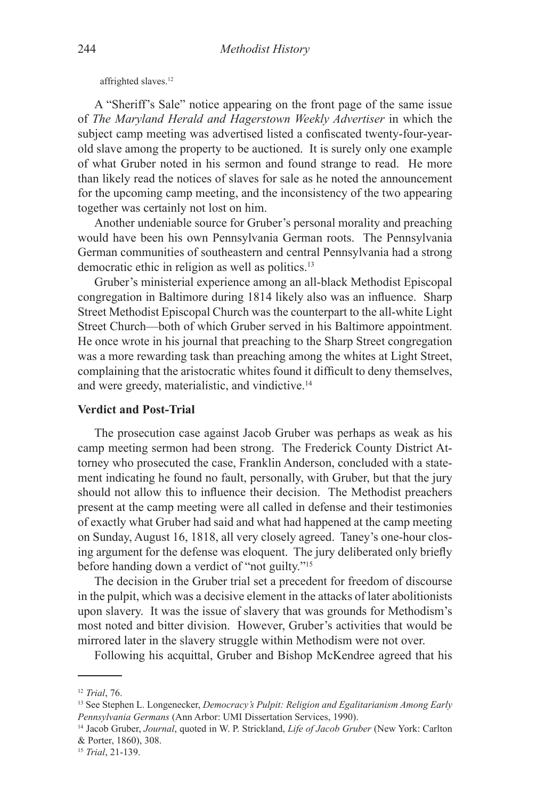affrighted slaves.12

A "Sheriff's Sale" notice appearing on the front page of the same issue of *The Maryland Herald and Hagerstown Weekly Advertiser* in which the subject camp meeting was advertised listed a confiscated twenty-four-yearold slave among the property to be auctioned. It is surely only one example of what Gruber noted in his sermon and found strange to read. He more than likely read the notices of slaves for sale as he noted the announcement for the upcoming camp meeting, and the inconsistency of the two appearing together was certainly not lost on him.

Another undeniable source for Gruber's personal morality and preaching would have been his own Pennsylvania German roots. The Pennsylvania German communities of southeastern and central Pennsylvania had a strong democratic ethic in religion as well as politics.<sup>13</sup>

Gruber's ministerial experience among an all-black Methodist Episcopal congregation in Baltimore during 1814 likely also was an influence. Sharp Street Methodist Episcopal Church was the counterpart to the all-white Light Street Church—both of which Gruber served in his Baltimore appointment. He once wrote in his journal that preaching to the Sharp Street congregation was a more rewarding task than preaching among the whites at Light Street, complaining that the aristocratic whites found it difficult to deny themselves, and were greedy, materialistic, and vindictive.14

# **Verdict and Post-Trial**

The prosecution case against Jacob Gruber was perhaps as weak as his camp meeting sermon had been strong. The Frederick County District Attorney who prosecuted the case, Franklin Anderson, concluded with a statement indicating he found no fault, personally, with Gruber, but that the jury should not allow this to influence their decision. The Methodist preachers present at the camp meeting were all called in defense and their testimonies of exactly what Gruber had said and what had happened at the camp meeting on Sunday, August 16, 1818, all very closely agreed. Taney's one-hour closing argument for the defense was eloquent. The jury deliberated only briefly before handing down a verdict of "not guilty."15

The decision in the Gruber trial set a precedent for freedom of discourse in the pulpit, which was a decisive element in the attacks of later abolitionists upon slavery. It was the issue of slavery that was grounds for Methodism's most noted and bitter division. However, Gruber's activities that would be mirrored later in the slavery struggle within Methodism were not over.

Following his acquittal, Gruber and Bishop McKendree agreed that his

<sup>12</sup> *Trial*, 76.

<sup>13</sup> See Stephen L. Longenecker, *Democracy's Pulpit: Religion and Egalitarianism Among Early Pennsylvania Germans* (Ann Arbor: UMI Dissertation Services, 1990).

<sup>14</sup> Jacob Gruber, *Journal*, quoted in W. P. Strickland, *Life of Jacob Gruber* (New York: Carlton & Porter, 1860), 308.

<sup>15</sup> *Trial*, 21-139.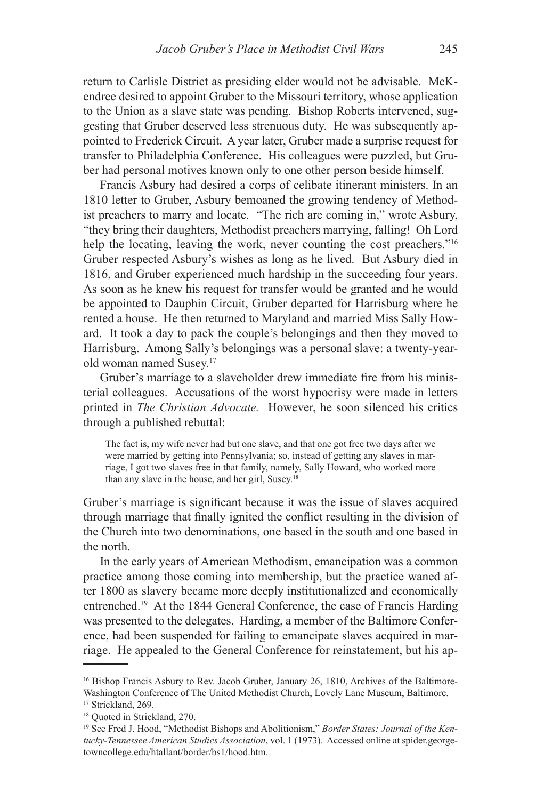return to Carlisle District as presiding elder would not be advisable. McKendree desired to appoint Gruber to the Missouri territory, whose application to the Union as a slave state was pending. Bishop Roberts intervened, suggesting that Gruber deserved less strenuous duty. He was subsequently appointed to Frederick Circuit. A year later, Gruber made a surprise request for transfer to Philadelphia Conference. His colleagues were puzzled, but Gruber had personal motives known only to one other person beside himself.

Francis Asbury had desired a corps of celibate itinerant ministers. In an 1810 letter to Gruber, Asbury bemoaned the growing tendency of Methodist preachers to marry and locate. "The rich are coming in," wrote Asbury, "they bring their daughters, Methodist preachers marrying, falling! Oh Lord help the locating, leaving the work, never counting the cost preachers."<sup>16</sup> Gruber respected Asbury's wishes as long as he lived. But Asbury died in 1816, and Gruber experienced much hardship in the succeeding four years. As soon as he knew his request for transfer would be granted and he would be appointed to Dauphin Circuit, Gruber departed for Harrisburg where he rented a house. He then returned to Maryland and married Miss Sally Howard. It took a day to pack the couple's belongings and then they moved to Harrisburg. Among Sally's belongings was a personal slave: a twenty-yearold woman named Susey.17

Gruber's marriage to a slaveholder drew immediate fire from his ministerial colleagues. Accusations of the worst hypocrisy were made in letters printed in *The Christian Advocate.* However, he soon silenced his critics through a published rebuttal:

The fact is, my wife never had but one slave, and that one got free two days after we were married by getting into Pennsylvania; so, instead of getting any slaves in marriage, I got two slaves free in that family, namely, Sally Howard, who worked more than any slave in the house, and her girl, Susey.18

Gruber's marriage is significant because it was the issue of slaves acquired through marriage that finally ignited the conflict resulting in the division of the Church into two denominations, one based in the south and one based in the north.

In the early years of American Methodism, emancipation was a common practice among those coming into membership, but the practice waned after 1800 as slavery became more deeply institutionalized and economically entrenched.19 At the 1844 General Conference, the case of Francis Harding was presented to the delegates. Harding, a member of the Baltimore Conference, had been suspended for failing to emancipate slaves acquired in marriage. He appealed to the General Conference for reinstatement, but his ap-

<sup>16</sup> Bishop Francis Asbury to Rev. Jacob Gruber, January 26, 1810, Archives of the Baltimore-Washington Conference of The United Methodist Church, Lovely Lane Museum, Baltimore. <sup>17</sup> Strickland, 269.

<sup>18</sup> Quoted in Strickland, 270.

<sup>19</sup> See Fred J. Hood, "Methodist Bishops and Abolitionism," *Border States: Journal of the Kentucky-Tennessee American Studies Association*, vol. 1 (1973). Accessed online at spider.georgetowncollege.edu/htallant/border/bs1/hood.htm.